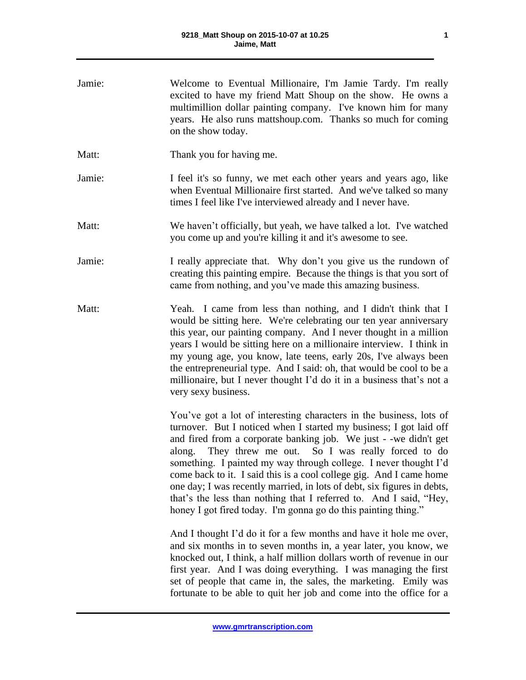| Jamie: | Welcome to Eventual Millionaire, I'm Jamie Tardy. I'm really<br>excited to have my friend Matt Shoup on the show. He owns a<br>multimillion dollar painting company. I've known him for many<br>years. He also runs mattshoup.com. Thanks so much for coming<br>on the show today.                                                                                                                                                                                                                                                                                                                                                    |
|--------|---------------------------------------------------------------------------------------------------------------------------------------------------------------------------------------------------------------------------------------------------------------------------------------------------------------------------------------------------------------------------------------------------------------------------------------------------------------------------------------------------------------------------------------------------------------------------------------------------------------------------------------|
| Matt:  | Thank you for having me.                                                                                                                                                                                                                                                                                                                                                                                                                                                                                                                                                                                                              |
| Jamie: | I feel it's so funny, we met each other years and years ago, like<br>when Eventual Millionaire first started. And we've talked so many<br>times I feel like I've interviewed already and I never have.                                                                                                                                                                                                                                                                                                                                                                                                                                |
| Matt:  | We haven't officially, but yeah, we have talked a lot. I've watched<br>you come up and you're killing it and it's awesome to see.                                                                                                                                                                                                                                                                                                                                                                                                                                                                                                     |
| Jamie: | I really appreciate that. Why don't you give us the rundown of<br>creating this painting empire. Because the things is that you sort of<br>came from nothing, and you've made this amazing business.                                                                                                                                                                                                                                                                                                                                                                                                                                  |
| Matt:  | Yeah. I came from less than nothing, and I didn't think that I<br>would be sitting here. We're celebrating our ten year anniversary<br>this year, our painting company. And I never thought in a million<br>years I would be sitting here on a millionaire interview. I think in<br>my young age, you know, late teens, early 20s, I've always been<br>the entrepreneurial type. And I said: oh, that would be cool to be a<br>millionaire, but I never thought I'd do it in a business that's not a<br>very sexy business.                                                                                                           |
|        | You've got a lot of interesting characters in the business, lots of<br>turnover. But I noticed when I started my business; I got laid off<br>and fired from a corporate banking job. We just - -we didn't get<br>along. They threw me out. So I was really forced to do<br>something. I painted my way through college. I never thought I'd<br>come back to it. I said this is a cool college gig. And I came home<br>one day; I was recently married, in lots of debt, six figures in debts,<br>that's the less than nothing that I referred to. And I said, "Hey,<br>honey I got fired today. I'm gonna go do this painting thing." |
|        | And I thought I'd do it for a few months and have it hole me over,<br>and six months in to seven months in, a year later, you know, we<br>knocked out, I think, a half million dollars worth of revenue in our<br>first year. And I was doing everything. I was managing the first<br>set of people that came in, the sales, the marketing. Emily was<br>fortunate to be able to quit her job and come into the office for a                                                                                                                                                                                                          |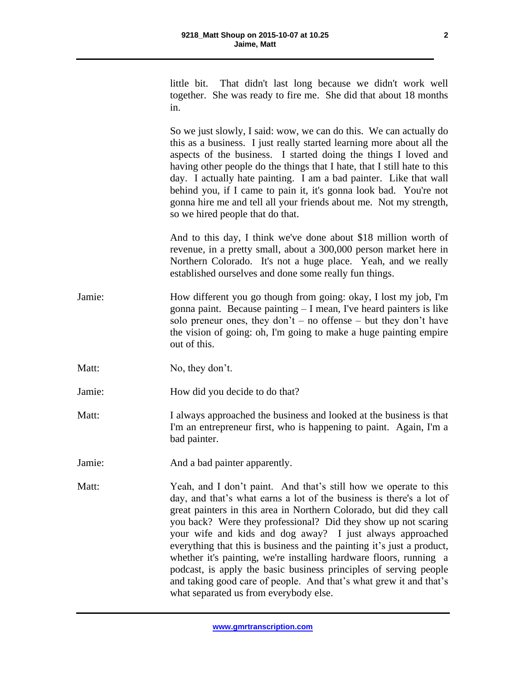little bit. That didn't last long because we didn't work well together. She was ready to fire me. She did that about 18 months in.

So we just slowly, I said: wow, we can do this. We can actually do this as a business. I just really started learning more about all the aspects of the business. I started doing the things I loved and having other people do the things that I hate, that I still hate to this day. I actually hate painting. I am a bad painter. Like that wall behind you, if I came to pain it, it's gonna look bad. You're not gonna hire me and tell all your friends about me. Not my strength, so we hired people that do that.

And to this day, I think we've done about \$18 million worth of revenue, in a pretty small, about a 300,000 person market here in Northern Colorado. It's not a huge place. Yeah, and we really established ourselves and done some really fun things.

- Jamie: How different you go though from going: okay, I lost my job, I'm gonna paint. Because painting – I mean, I've heard painters is like solo preneur ones, they don't – no offense – but they don't have the vision of going: oh, I'm going to make a huge painting empire out of this.
- Matt: No, they don't.

Jamie: How did you decide to do that?

- Matt: I always approached the business and looked at the business is that I'm an entrepreneur first, who is happening to paint. Again, I'm a bad painter.
- Jamie: And a bad painter apparently.
- Matt: Yeah, and I don't paint. And that's still how we operate to this day, and that's what earns a lot of the business is there's a lot of great painters in this area in Northern Colorado, but did they call you back? Were they professional? Did they show up not scaring your wife and kids and dog away? I just always approached everything that this is business and the painting it's just a product, whether it's painting, we're installing hardware floors, running a podcast, is apply the basic business principles of serving people and taking good care of people. And that's what grew it and that's what separated us from everybody else.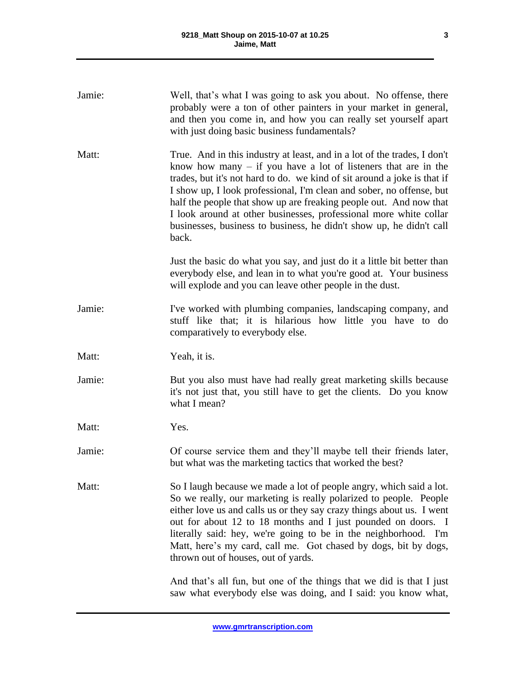| Jamie: | Well, that's what I was going to ask you about. No offense, there<br>probably were a ton of other painters in your market in general,<br>and then you come in, and how you can really set yourself apart<br>with just doing basic business fundamentals?                                                                                                                                                                                                                                                                    |
|--------|-----------------------------------------------------------------------------------------------------------------------------------------------------------------------------------------------------------------------------------------------------------------------------------------------------------------------------------------------------------------------------------------------------------------------------------------------------------------------------------------------------------------------------|
| Matt:  | True. And in this industry at least, and in a lot of the trades, I don't<br>know how many $-$ if you have a lot of listeners that are in the<br>trades, but it's not hard to do. we kind of sit around a joke is that if<br>I show up, I look professional, I'm clean and sober, no offense, but<br>half the people that show up are freaking people out. And now that<br>I look around at other businesses, professional more white collar<br>businesses, business to business, he didn't show up, he didn't call<br>back. |
|        | Just the basic do what you say, and just do it a little bit better than<br>everybody else, and lean in to what you're good at. Your business<br>will explode and you can leave other people in the dust.                                                                                                                                                                                                                                                                                                                    |
| Jamie: | I've worked with plumbing companies, landscaping company, and<br>stuff like that; it is hilarious how little you have to do<br>comparatively to everybody else.                                                                                                                                                                                                                                                                                                                                                             |
| Matt:  | Yeah, it is.                                                                                                                                                                                                                                                                                                                                                                                                                                                                                                                |
| Jamie: | But you also must have had really great marketing skills because<br>it's not just that, you still have to get the clients. Do you know<br>what I mean?                                                                                                                                                                                                                                                                                                                                                                      |
| Matt:  | Yes.                                                                                                                                                                                                                                                                                                                                                                                                                                                                                                                        |
| Jamie: | Of course service them and they'll maybe tell their friends later,<br>but what was the marketing tactics that worked the best?                                                                                                                                                                                                                                                                                                                                                                                              |
| Matt:  | So I laugh because we made a lot of people angry, which said a lot.<br>So we really, our marketing is really polarized to people. People<br>either love us and calls us or they say crazy things about us. I went<br>out for about 12 to 18 months and I just pounded on doors. I<br>literally said: hey, we're going to be in the neighborhood. I'm<br>Matt, here's my card, call me. Got chased by dogs, bit by dogs,<br>thrown out of houses, out of yards.                                                              |
|        | And that's all fun, but one of the things that we did is that I just<br>saw what everybody else was doing, and I said: you know what,                                                                                                                                                                                                                                                                                                                                                                                       |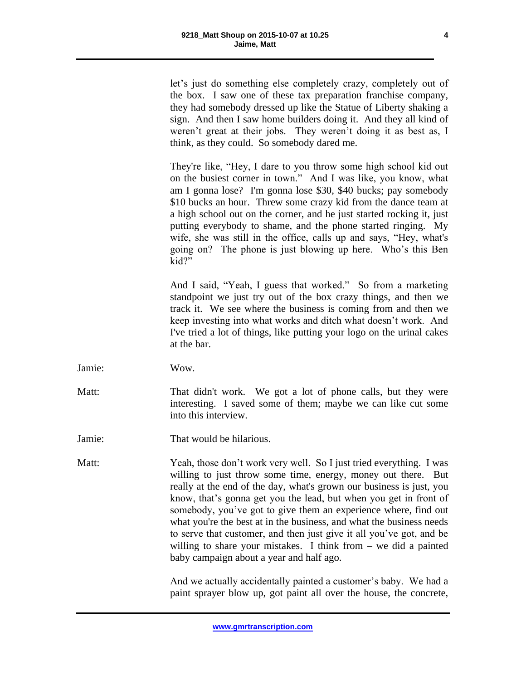let's just do something else completely crazy, completely out of the box. I saw one of these tax preparation franchise company, they had somebody dressed up like the Statue of Liberty shaking a sign. And then I saw home builders doing it. And they all kind of weren't great at their jobs. They weren't doing it as best as, I think, as they could. So somebody dared me.

They're like, "Hey, I dare to you throw some high school kid out on the busiest corner in town." And I was like, you know, what am I gonna lose? I'm gonna lose \$30, \$40 bucks; pay somebody \$10 bucks an hour. Threw some crazy kid from the dance team at a high school out on the corner, and he just started rocking it, just putting everybody to shame, and the phone started ringing. My wife, she was still in the office, calls up and says, "Hey, what's going on? The phone is just blowing up here. Who's this Ben kid?"

And I said, "Yeah, I guess that worked." So from a marketing standpoint we just try out of the box crazy things, and then we track it. We see where the business is coming from and then we keep investing into what works and ditch what doesn't work. And I've tried a lot of things, like putting your logo on the urinal cakes at the bar.

- Jamie: Wow.
- Matt: That didn't work. We got a lot of phone calls, but they were interesting. I saved some of them; maybe we can like cut some into this interview.

Jamie: That would be hilarious.

Matt: Yeah, those don't work very well. So I just tried everything. I was willing to just throw some time, energy, money out there. But really at the end of the day, what's grown our business is just, you know, that's gonna get you the lead, but when you get in front of somebody, you've got to give them an experience where, find out what you're the best at in the business, and what the business needs to serve that customer, and then just give it all you've got, and be willing to share your mistakes. I think from – we did a painted baby campaign about a year and half ago.

> And we actually accidentally painted a customer's baby. We had a paint sprayer blow up, got paint all over the house, the concrete,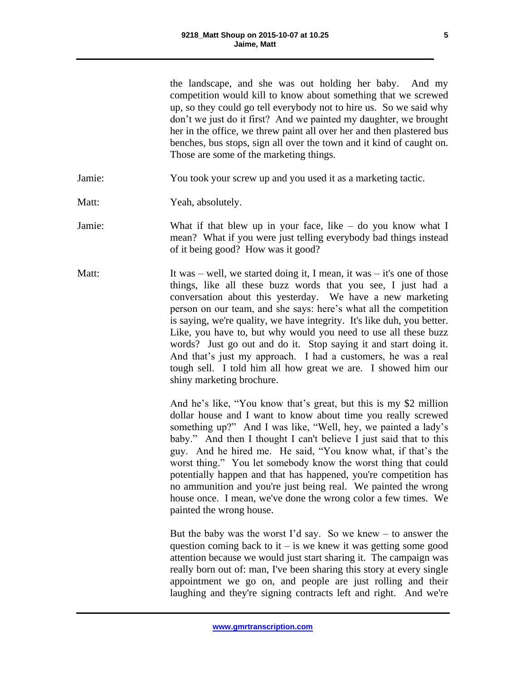the landscape, and she was out holding her baby. And my competition would kill to know about something that we screwed up, so they could go tell everybody not to hire us. So we said why don't we just do it first? And we painted my daughter, we brought her in the office, we threw paint all over her and then plastered bus benches, bus stops, sign all over the town and it kind of caught on. Those are some of the marketing things.

Jamie: You took your screw up and you used it as a marketing tactic.

Matt: Yeah, absolutely.

Jamie: What if that blew up in your face, like – do you know what I mean? What if you were just telling everybody bad things instead of it being good? How was it good?

Matt: It was – well, we started doing it, I mean, it was – it's one of those things, like all these buzz words that you see, I just had a conversation about this yesterday. We have a new marketing person on our team, and she says: here's what all the competition is saying, we're quality, we have integrity. It's like duh, you better. Like, you have to, but why would you need to use all these buzz words? Just go out and do it. Stop saying it and start doing it. And that's just my approach. I had a customers, he was a real tough sell. I told him all how great we are. I showed him our shiny marketing brochure.

> And he's like, "You know that's great, but this is my \$2 million dollar house and I want to know about time you really screwed something up?" And I was like, "Well, hey, we painted a lady's baby." And then I thought I can't believe I just said that to this guy. And he hired me. He said, "You know what, if that's the worst thing." You let somebody know the worst thing that could potentially happen and that has happened, you're competition has no ammunition and you're just being real. We painted the wrong house once. I mean, we've done the wrong color a few times. We painted the wrong house.

> But the baby was the worst I'd say. So we knew  $-$  to answer the question coming back to it – is we knew it was getting some good attention because we would just start sharing it. The campaign was really born out of: man, I've been sharing this story at every single appointment we go on, and people are just rolling and their laughing and they're signing contracts left and right. And we're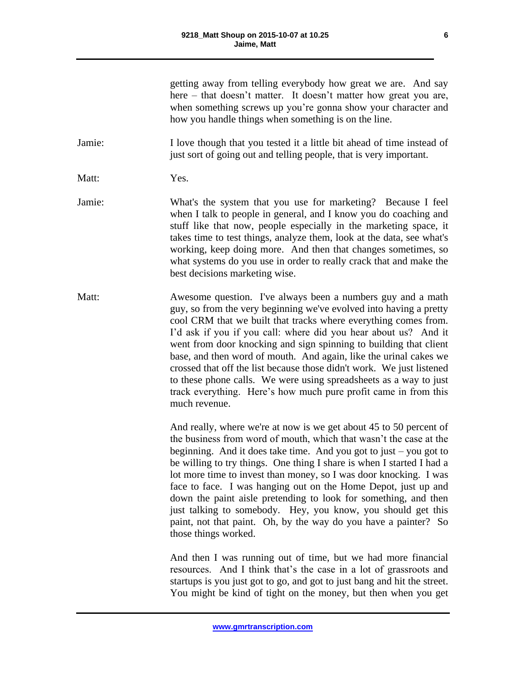getting away from telling everybody how great we are. And say here – that doesn't matter. It doesn't matter how great you are, when something screws up you're gonna show your character and how you handle things when something is on the line.

Jamie: I love though that you tested it a little bit ahead of time instead of just sort of going out and telling people, that is very important.

Matt: Yes.

Jamie: What's the system that you use for marketing? Because I feel when I talk to people in general, and I know you do coaching and stuff like that now, people especially in the marketing space, it takes time to test things, analyze them, look at the data, see what's working, keep doing more. And then that changes sometimes, so what systems do you use in order to really crack that and make the best decisions marketing wise.

Matt: Awesome question. I've always been a numbers guy and a math guy, so from the very beginning we've evolved into having a pretty cool CRM that we built that tracks where everything comes from. I'd ask if you if you call: where did you hear about us? And it went from door knocking and sign spinning to building that client base, and then word of mouth. And again, like the urinal cakes we crossed that off the list because those didn't work. We just listened to these phone calls. We were using spreadsheets as a way to just track everything. Here's how much pure profit came in from this much revenue.

> And really, where we're at now is we get about 45 to 50 percent of the business from word of mouth, which that wasn't the case at the beginning. And it does take time. And you got to just – you got to be willing to try things. One thing I share is when I started I had a lot more time to invest than money, so I was door knocking. I was face to face. I was hanging out on the Home Depot, just up and down the paint aisle pretending to look for something, and then just talking to somebody. Hey, you know, you should get this paint, not that paint. Oh, by the way do you have a painter? So those things worked.

> And then I was running out of time, but we had more financial resources. And I think that's the case in a lot of grassroots and startups is you just got to go, and got to just bang and hit the street. You might be kind of tight on the money, but then when you get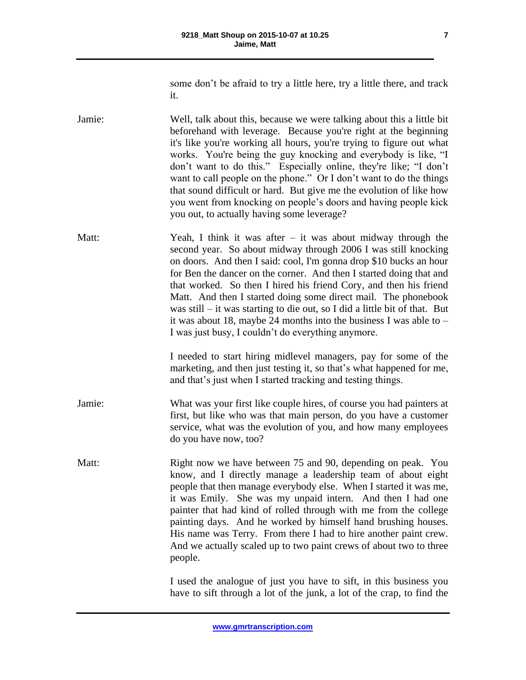**7**

some don't be afraid to try a little here, try a little there, and track it.

Jamie: Well, talk about this, because we were talking about this a little bit beforehand with leverage. Because you're right at the beginning it's like you're working all hours, you're trying to figure out what works. You're being the guy knocking and everybody is like, "I don't want to do this." Especially online, they're like; "I don't want to call people on the phone." Or I don't want to do the things that sound difficult or hard. But give me the evolution of like how you went from knocking on people's doors and having people kick you out, to actually having some leverage?

Matt: Yeah, I think it was after – it was about midway through the second year. So about midway through 2006 I was still knocking on doors. And then I said: cool, I'm gonna drop \$10 bucks an hour for Ben the dancer on the corner. And then I started doing that and that worked. So then I hired his friend Cory, and then his friend Matt. And then I started doing some direct mail. The phonebook was still – it was starting to die out, so I did a little bit of that. But it was about 18, maybe 24 months into the business I was able to – I was just busy, I couldn't do everything anymore.

> I needed to start hiring midlevel managers, pay for some of the marketing, and then just testing it, so that's what happened for me, and that's just when I started tracking and testing things.

- Jamie: What was your first like couple hires, of course you had painters at first, but like who was that main person, do you have a customer service, what was the evolution of you, and how many employees do you have now, too?
- Matt: Right now we have between 75 and 90, depending on peak. You know, and I directly manage a leadership team of about eight people that then manage everybody else. When I started it was me, it was Emily. She was my unpaid intern. And then I had one painter that had kind of rolled through with me from the college painting days. And he worked by himself hand brushing houses. His name was Terry. From there I had to hire another paint crew. And we actually scaled up to two paint crews of about two to three people.

I used the analogue of just you have to sift, in this business you have to sift through a lot of the junk, a lot of the crap, to find the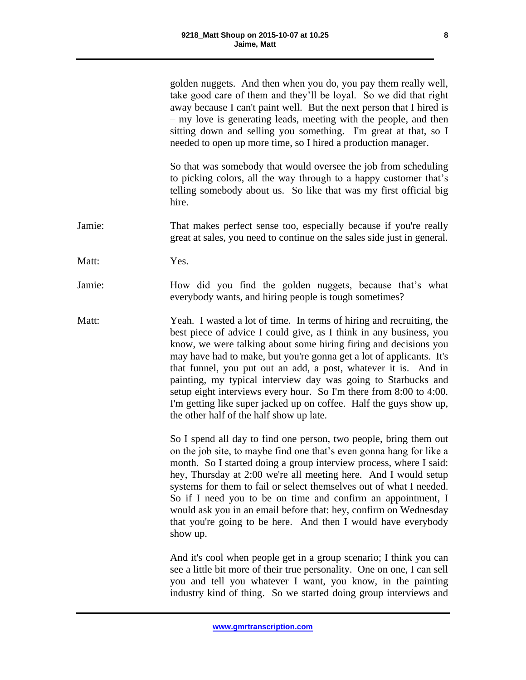golden nuggets. And then when you do, you pay them really well, take good care of them and they'll be loyal. So we did that right away because I can't paint well. But the next person that I hired is – my love is generating leads, meeting with the people, and then sitting down and selling you something. I'm great at that, so I needed to open up more time, so I hired a production manager.

So that was somebody that would oversee the job from scheduling to picking colors, all the way through to a happy customer that's telling somebody about us. So like that was my first official big hire.

Jamie: That makes perfect sense too, especially because if you're really great at sales, you need to continue on the sales side just in general.

Matt: **Yes.** 

Jamie: How did you find the golden nuggets, because that's what everybody wants, and hiring people is tough sometimes?

Matt: Yeah. I wasted a lot of time. In terms of hiring and recruiting, the best piece of advice I could give, as I think in any business, you know, we were talking about some hiring firing and decisions you may have had to make, but you're gonna get a lot of applicants. It's that funnel, you put out an add, a post, whatever it is. And in painting, my typical interview day was going to Starbucks and setup eight interviews every hour. So I'm there from 8:00 to 4:00. I'm getting like super jacked up on coffee. Half the guys show up, the other half of the half show up late.

> So I spend all day to find one person, two people, bring them out on the job site, to maybe find one that's even gonna hang for like a month. So I started doing a group interview process, where I said: hey, Thursday at 2:00 we're all meeting here. And I would setup systems for them to fail or select themselves out of what I needed. So if I need you to be on time and confirm an appointment, I would ask you in an email before that: hey, confirm on Wednesday that you're going to be here. And then I would have everybody show up.

> And it's cool when people get in a group scenario; I think you can see a little bit more of their true personality. One on one, I can sell you and tell you whatever I want, you know, in the painting industry kind of thing. So we started doing group interviews and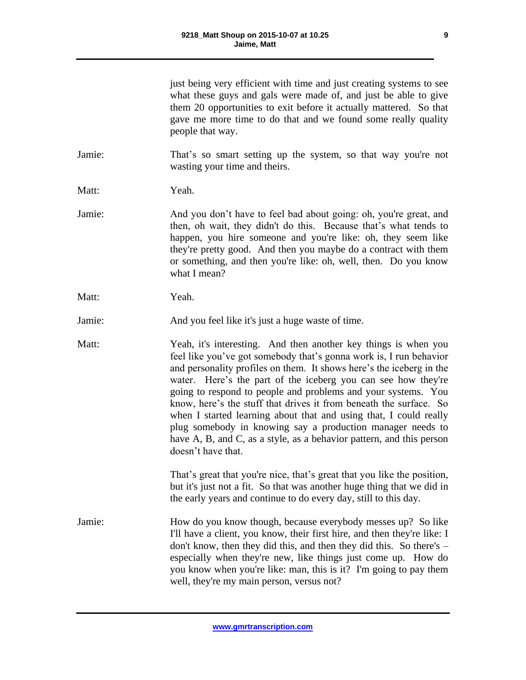| just being very efficient with time and just creating systems to see |
|----------------------------------------------------------------------|
| what these guys and gals were made of, and just be able to give      |
| them 20 opportunities to exit before it actually mattered. So that   |
| gave me more time to do that and we found some really quality        |
| people that way.                                                     |

Jamie: That's so smart setting up the system, so that way you're not wasting your time and theirs.

Matt: Yeah.

- Jamie: And you don't have to feel bad about going: oh, you're great, and then, oh wait, they didn't do this. Because that's what tends to happen, you hire someone and you're like: oh, they seem like they're pretty good. And then you maybe do a contract with them or something, and then you're like: oh, well, then. Do you know what I mean?
- Matt: Yeah.

Jamie: And you feel like it's just a huge waste of time.

Matt: Yeah, it's interesting. And then another key things is when you feel like you've got somebody that's gonna work is, I run behavior and personality profiles on them. It shows here's the iceberg in the water. Here's the part of the iceberg you can see how they're going to respond to people and problems and your systems. You know, here's the stuff that drives it from beneath the surface. So when I started learning about that and using that, I could really plug somebody in knowing say a production manager needs to have A, B, and C, as a style, as a behavior pattern, and this person doesn't have that.

> That's great that you're nice, that's great that you like the position, but it's just not a fit. So that was another huge thing that we did in the early years and continue to do every day, still to this day.

Jamie: How do you know though, because everybody messes up? So like I'll have a client, you know, their first hire, and then they're like: I don't know, then they did this, and then they did this. So there's – especially when they're new, like things just come up. How do you know when you're like: man, this is it? I'm going to pay them well, they're my main person, versus not?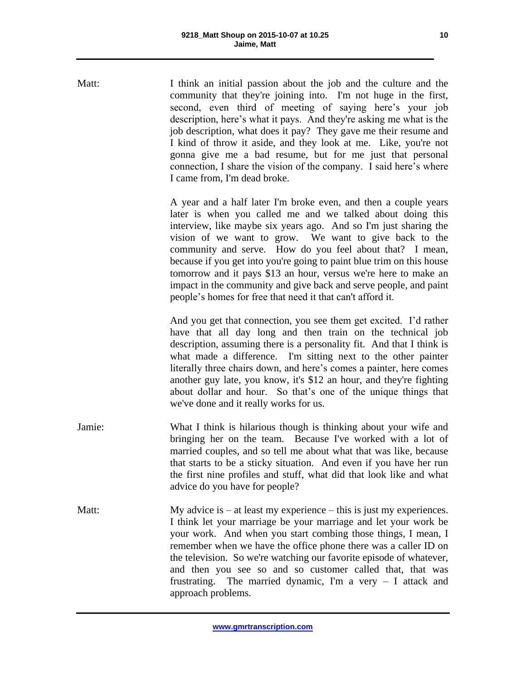Matt: I think an initial passion about the job and the culture and the community that they're joining into. I'm not huge in the first, second, even third of meeting of saying here's your job description, here's what it pays. And they're asking me what is the job description, what does it pay? They gave me their resume and I kind of throw it aside, and they look at me. Like, you're not gonna give me a bad resume, but for me just that personal connection, I share the vision of the company. I said here's where I came from, I'm dead broke.

> A year and a half later I'm broke even, and then a couple years later is when you called me and we talked about doing this interview, like maybe six years ago. And so I'm just sharing the vision of we want to grow. We want to give back to the community and serve. How do you feel about that? I mean, because if you get into you're going to paint blue trim on this house tomorrow and it pays \$13 an hour, versus we're here to make an impact in the community and give back and serve people, and paint people's homes for free that need it that can't afford it.

> And you get that connection, you see them get excited. I'd rather have that all day long and then train on the technical job description, assuming there is a personality fit. And that I think is what made a difference. I'm sitting next to the other painter literally three chairs down, and here's comes a painter, here comes another guy late, you know, it's \$12 an hour, and they're fighting about dollar and hour. So that's one of the unique things that we've done and it really works for us.

- Jamie: What I think is hilarious though is thinking about your wife and bringing her on the team. Because I've worked with a lot of married couples, and so tell me about what that was like, because that starts to be a sticky situation. And even if you have her run the first nine profiles and stuff, what did that look like and what advice do you have for people?
- Matt: My advice is at least my experience this is just my experiences. I think let your marriage be your marriage and let your work be your work. And when you start combing those things, I mean, I remember when we have the office phone there was a caller ID on the television. So we're watching our favorite episode of whatever, and then you see so and so customer called that, that was frustrating. The married dynamic, I'm a very – I attack and approach problems.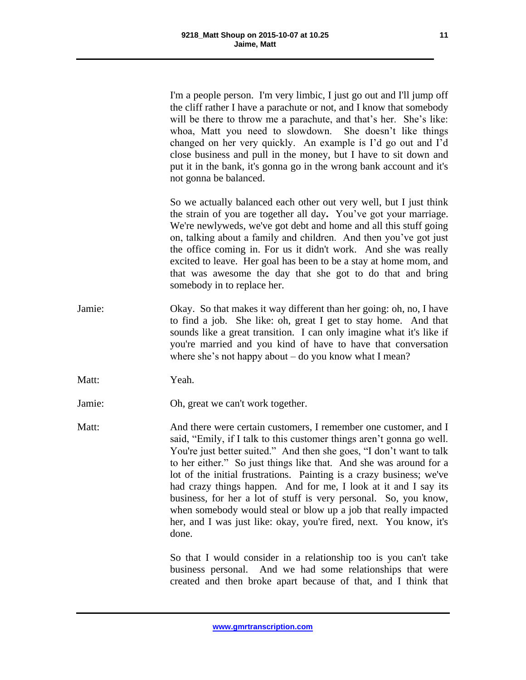I'm a people person. I'm very limbic, I just go out and I'll jump off the cliff rather I have a parachute or not, and I know that somebody will be there to throw me a parachute, and that's her. She's like: whoa, Matt you need to slowdown. She doesn't like things changed on her very quickly. An example is I'd go out and I'd close business and pull in the money, but I have to sit down and put it in the bank, it's gonna go in the wrong bank account and it's not gonna be balanced.

So we actually balanced each other out very well, but I just think the strain of you are together all day**.** You've got your marriage. We're newlyweds, we've got debt and home and all this stuff going on, talking about a family and children. And then you've got just the office coming in. For us it didn't work. And she was really excited to leave. Her goal has been to be a stay at home mom, and that was awesome the day that she got to do that and bring somebody in to replace her.

Jamie: Okay. So that makes it way different than her going: oh, no, I have to find a job. She like: oh, great I get to stay home. And that sounds like a great transition. I can only imagine what it's like if you're married and you kind of have to have that conversation where she's not happy about – do you know what I mean?

Matt: Yeah.

Jamie: Oh, great we can't work together.

Matt: And there were certain customers, I remember one customer, and I said, "Emily, if I talk to this customer things aren't gonna go well. You're just better suited." And then she goes, "I don't want to talk to her either." So just things like that. And she was around for a lot of the initial frustrations. Painting is a crazy business; we've had crazy things happen. And for me, I look at it and I say its business, for her a lot of stuff is very personal. So, you know, when somebody would steal or blow up a job that really impacted her, and I was just like: okay, you're fired, next. You know, it's done.

> So that I would consider in a relationship too is you can't take business personal. And we had some relationships that were created and then broke apart because of that, and I think that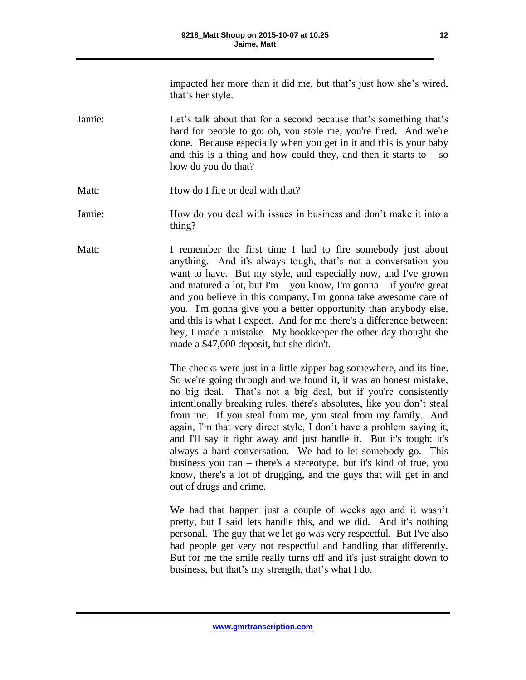impacted her more than it did me, but that's just how she's wired, that's her style.

- Jamie: Let's talk about that for a second because that's something that's hard for people to go: oh, you stole me, you're fired. And we're done. Because especially when you get in it and this is your baby and this is a thing and how could they, and then it starts to  $-$  so how do you do that?
- Matt: How do I fire or deal with that?
- Jamie: How do you deal with issues in business and don't make it into a thing?
- Matt: I remember the first time I had to fire somebody just about anything. And it's always tough, that's not a conversation you want to have. But my style, and especially now, and I've grown and matured a lot, but I'm – you know, I'm gonna – if you're great and you believe in this company, I'm gonna take awesome care of you. I'm gonna give you a better opportunity than anybody else, and this is what I expect. And for me there's a difference between: hey, I made a mistake. My bookkeeper the other day thought she made a \$47,000 deposit, but she didn't.

The checks were just in a little zipper bag somewhere, and its fine. So we're going through and we found it, it was an honest mistake, no big deal. That's not a big deal, but if you're consistently intentionally breaking rules, there's absolutes, like you don't steal from me. If you steal from me, you steal from my family. And again, I'm that very direct style, I don't have a problem saying it, and I'll say it right away and just handle it. But it's tough; it's always a hard conversation. We had to let somebody go. This business you can – there's a stereotype, but it's kind of true, you know, there's a lot of drugging, and the guys that will get in and out of drugs and crime.

We had that happen just a couple of weeks ago and it wasn't pretty, but I said lets handle this, and we did. And it's nothing personal. The guy that we let go was very respectful. But I've also had people get very not respectful and handling that differently. But for me the smile really turns off and it's just straight down to business, but that's my strength, that's what I do.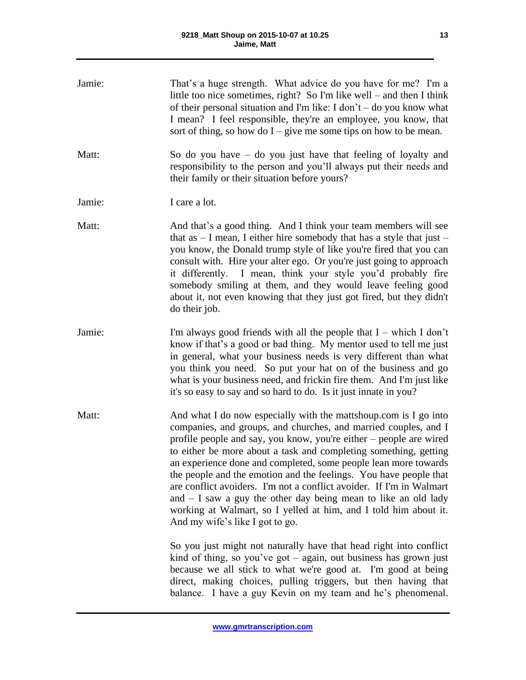| Jamie: | That's a huge strength. What advice do you have for me? I'm a<br>little too nice sometimes, right? So I'm like well – and then I think<br>of their personal situation and I'm like: I don't – do you know what<br>I mean? I feel responsible, they're an employee, you know, that<br>sort of thing, so how do $I$ – give me some tips on how to be mean.                                                                                                                                                                                                                                                                                                                 |
|--------|--------------------------------------------------------------------------------------------------------------------------------------------------------------------------------------------------------------------------------------------------------------------------------------------------------------------------------------------------------------------------------------------------------------------------------------------------------------------------------------------------------------------------------------------------------------------------------------------------------------------------------------------------------------------------|
| Matt:  | So do you have $-$ do you just have that feeling of loyalty and<br>responsibility to the person and you'll always put their needs and<br>their family or their situation before yours?                                                                                                                                                                                                                                                                                                                                                                                                                                                                                   |
| Jamie: | I care a lot.                                                                                                                                                                                                                                                                                                                                                                                                                                                                                                                                                                                                                                                            |
| Matt:  | And that's a good thing. And I think your team members will see<br>that as $- I$ mean, I either hire somebody that has a style that just $- I$<br>you know, the Donald trump style of like you're fired that you can<br>consult with. Hire your alter ego. Or you're just going to approach<br>it differently. I mean, think your style you'd probably fire<br>somebody smiling at them, and they would leave feeling good<br>about it, not even knowing that they just got fired, but they didn't<br>do their job.                                                                                                                                                      |
| Jamie: | I'm always good friends with all the people that $I$ – which I don't<br>know if that's a good or bad thing. My mentor used to tell me just<br>in general, what your business needs is very different than what<br>you think you need. So put your hat on of the business and go<br>what is your business need, and frickin fire them. And I'm just like<br>it's so easy to say and so hard to do. Is it just innate in you?                                                                                                                                                                                                                                              |
| Matt:  | And what I do now especially with the mattshoup.com is I go into<br>companies, and groups, and churches, and married couples, and I<br>profile people and say, you know, you're either – people are wired<br>to either be more about a task and completing something, getting<br>an experience done and completed, some people lean more towards<br>the people and the emotion and the feelings. You have people that<br>are conflict avoiders. I'm not a conflict avoider. If I'm in Walmart<br>and $- I$ saw a guy the other day being mean to like an old lady<br>working at Walmart, so I yelled at him, and I told him about it.<br>And my wife's like I got to go. |
|        | So you just might not naturally have that head right into conflict<br>kind of thing, so you've got $-$ again, out business has grown just<br>because we all stick to what we're good at. I'm good at being<br>direct, making choices, pulling triggers, but then having that<br>balance. I have a guy Kevin on my team and he's phenomenal.                                                                                                                                                                                                                                                                                                                              |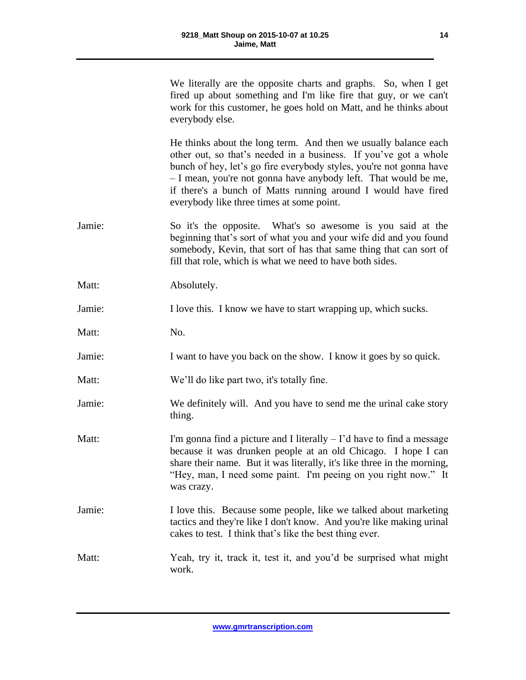|        | We literally are the opposite charts and graphs. So, when I get<br>fired up about something and I'm like fire that guy, or we can't<br>work for this customer, he goes hold on Matt, and he thinks about<br>everybody else.                                                                                                                                                                 |
|--------|---------------------------------------------------------------------------------------------------------------------------------------------------------------------------------------------------------------------------------------------------------------------------------------------------------------------------------------------------------------------------------------------|
|        | He thinks about the long term. And then we usually balance each<br>other out, so that's needed in a business. If you've got a whole<br>bunch of hey, let's go fire everybody styles, you're not gonna have<br>- I mean, you're not gonna have anybody left. That would be me,<br>if there's a bunch of Matts running around I would have fired<br>everybody like three times at some point. |
| Jamie: | So it's the opposite. What's so awesome is you said at the<br>beginning that's sort of what you and your wife did and you found<br>somebody, Kevin, that sort of has that same thing that can sort of<br>fill that role, which is what we need to have both sides.                                                                                                                          |
| Matt:  | Absolutely.                                                                                                                                                                                                                                                                                                                                                                                 |
| Jamie: | I love this. I know we have to start wrapping up, which sucks.                                                                                                                                                                                                                                                                                                                              |
| Matt:  | No.                                                                                                                                                                                                                                                                                                                                                                                         |
| Jamie: | I want to have you back on the show. I know it goes by so quick.                                                                                                                                                                                                                                                                                                                            |
| Matt:  | We'll do like part two, it's totally fine.                                                                                                                                                                                                                                                                                                                                                  |
| Jamie: | We definitely will. And you have to send me the urinal cake story<br>thing.                                                                                                                                                                                                                                                                                                                 |
| Matt:  | I'm gonna find a picture and I literally $-$ I'd have to find a message<br>because it was drunken people at an old Chicago. I hope I can<br>share their name. But it was literally, it's like three in the morning,<br>"Hey, man, I need some paint. I'm peeing on you right now." It<br>was crazy.                                                                                         |
| Jamie: | I love this. Because some people, like we talked about marketing<br>tactics and they're like I don't know. And you're like making urinal<br>cakes to test. I think that's like the best thing ever.                                                                                                                                                                                         |
| Matt:  | Yeah, try it, track it, test it, and you'd be surprised what might<br>work.                                                                                                                                                                                                                                                                                                                 |